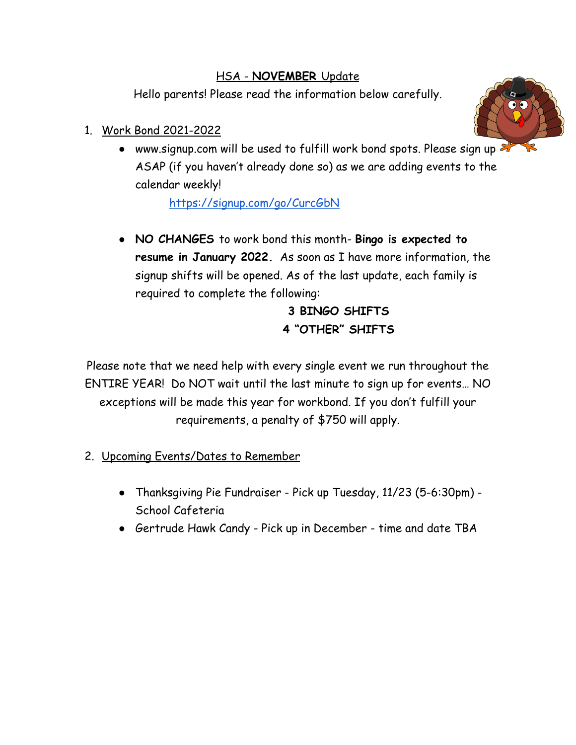## HSA - **NOVEMBER** Update

Hello parents! Please read the information below carefully.

## 1. Work Bond 2021-2022



• www.signup.com will be used to fulfill work bond spots. Please sign up ASAP (if you haven't already done so) as we are adding events to the calendar weekly!

<https://signup.com/go/CurcGbN>

● **NO CHANGES** to work bond this month- **Bingo is expected to resume in January 2022.** As soon as I have more information, the signup shifts will be opened. As of the last update, each family is required to complete the following:

## **3 BINGO SHIFTS 4 "OTHER" SHIFTS**

Please note that we need help with every single event we run throughout the ENTIRE YEAR! Do NOT wait until the last minute to sign up for events… NO exceptions will be made this year for workbond. If you don't fulfill your requirements, a penalty of \$750 will apply.

- 2. Upcoming Events/Dates to Remember
	- Thanksgiving Pie Fundraiser Pick up Tuesday, 11/23 (5-6:30pm) School Cafeteria
	- Gertrude Hawk Candy Pick up in December time and date TBA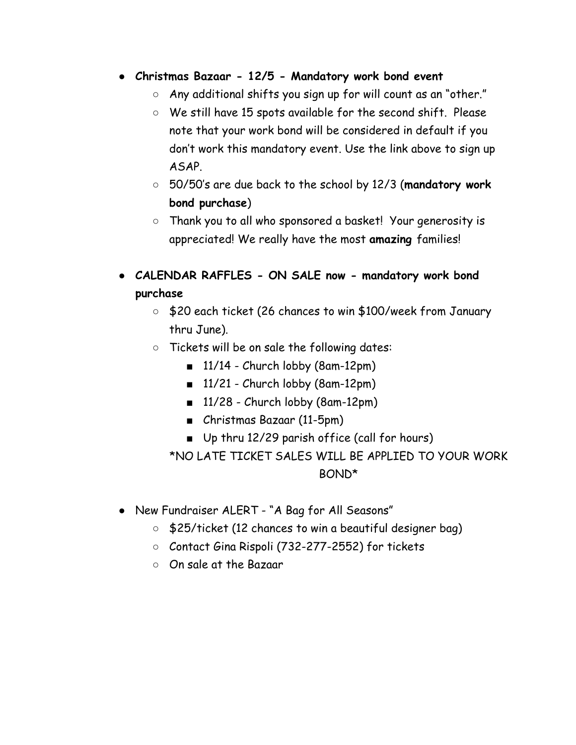- **● Christmas Bazaar 12/5 Mandatory work bond event**
	- Any additional shifts you sign up for will count as an "other."
	- We still have 15 spots available for the second shift. Please note that your work bond will be considered in default if you don't work this mandatory event. Use the link above to sign up ASAP.
	- 50/50's are due back to the school by 12/3 (**mandatory work bond purchase**)
	- Thank you to all who sponsored a basket! Your generosity is appreciated! We really have the most **amazing** families!
- **CALENDAR RAFFLES ON SALE now mandatory work bond purchase**
	- \$20 each ticket (26 chances to win \$100/week from January thru June).
	- Tickets will be on sale the following dates:
		- $\blacksquare$  11/14 Church lobby (8am-12pm)
		- $\blacksquare$  11/21 Church lobby (8am-12pm)
		- $\blacksquare$  11/28 Church lobby (8am-12pm)
		- Christmas Bazaar (11-5pm)
		- Up thru 12/29 parish office (call for hours)

\*NO LATE TICKET SALES WILL BE APPLIED TO YOUR WORK BOND\*

- New Fundraiser ALERT "A Bag for All Seasons"
	- \$25/ticket (12 chances to win a beautiful designer bag)
	- Contact Gina Rispoli (732-277-2552) for tickets
	- On sale at the Bazaar